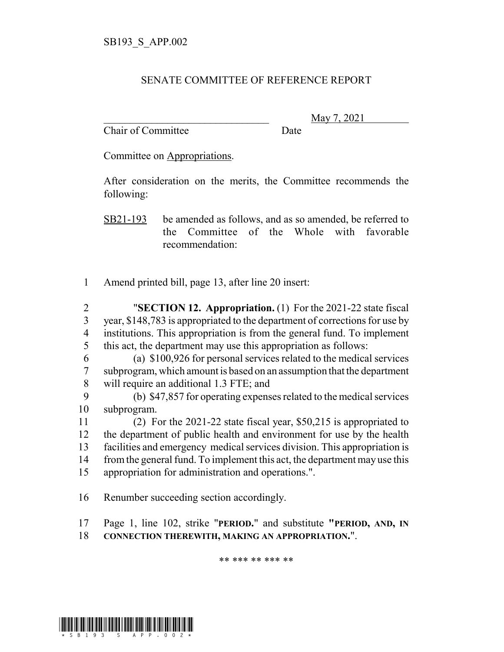## SENATE COMMITTEE OF REFERENCE REPORT

Chair of Committee Date

\_\_\_\_\_\_\_\_\_\_\_\_\_\_\_\_\_\_\_\_\_\_\_\_\_\_\_\_\_\_\_ May 7, 2021

Committee on Appropriations.

After consideration on the merits, the Committee recommends the following:

SB21-193 be amended as follows, and as so amended, be referred to the Committee of the Whole with favorable recommendation:

1 Amend printed bill, page 13, after line 20 insert:

 "**SECTION 12. Appropriation.** (1) For the 2021-22 state fiscal year, \$148,783 is appropriated to the department of corrections for use by institutions. This appropriation is from the general fund. To implement this act, the department may use this appropriation as follows:

6 (a) \$100,926 for personal services related to the medical services 7 subprogram, which amount is based on an assumption that the department 8 will require an additional 1.3 FTE; and

9 (b) \$47,857 for operating expenses related to the medical services 10 subprogram.

 (2) For the 2021-22 state fiscal year, \$50,215 is appropriated to the department of public health and environment for use by the health facilities and emergency medical services division. This appropriation is 14 from the general fund. To implement this act, the department may use this appropriation for administration and operations.".

16 Renumber succeeding section accordingly.

17 Page 1, line 102, strike "**PERIOD.**" and substitute **"PERIOD, AND, IN** 18 **CONNECTION THEREWITH, MAKING AN APPROPRIATION.**".

\*\* \*\*\* \*\* \*\*\* \*\*